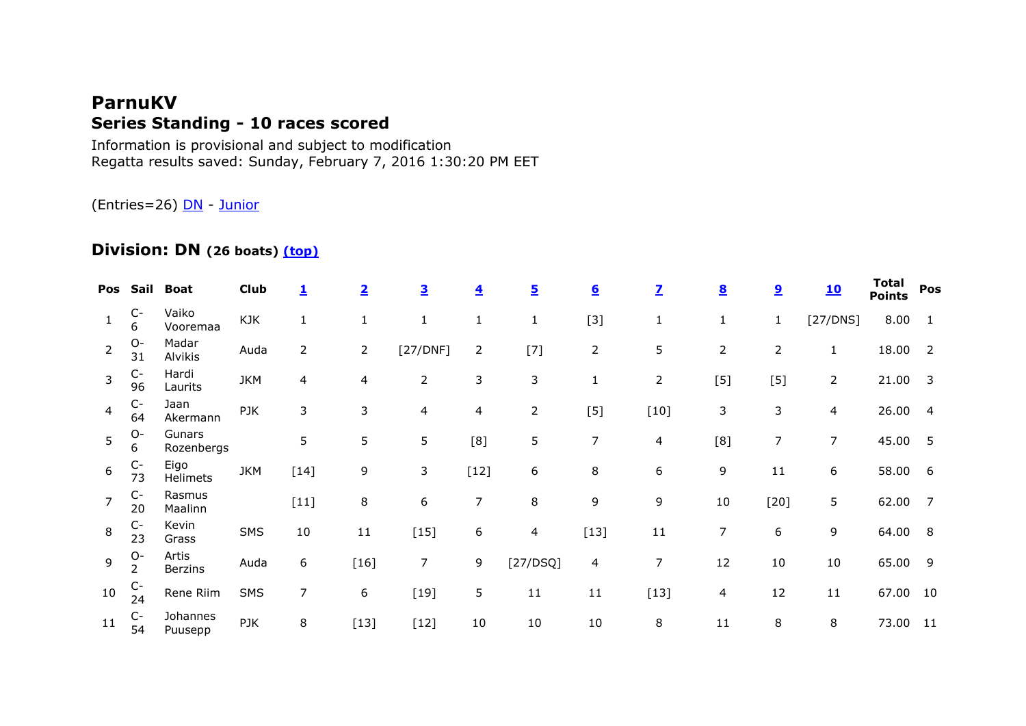# **ParnuKV Series Standing - 10 races scored**

Information is provisional and subject to modification Regatta results saved: Sunday, February 7, 2016 1:30:20 PM EET

(Entries=26) **DN** - [Junior](file:///C:/Users/triins/Documents/Purjetamine/Jääpurjetamine/2016/Läänemaa%20MV/reports/Parnu%20KV-DN/Parnu%20KV-DN.html%23Junior)

### **Division: DN (26 boats) [\(top\)](file:///C:/Users/triins/Documents/Purjetamine/Jääpurjetamine/2016/Läänemaa%20MV/reports/Parnu%20KV-DN/Parnu%20KV-DN.html%23top)**

|                |                           | Pos Sail Boat           | <b>Club</b> | $\overline{\mathbf{1}}$ | $\overline{\mathbf{2}}$ | $\overline{\mathbf{3}}$ | $\overline{\mathbf{4}}$ | <u>5</u>       | $6 \overline{6}$ | $\overline{\mathbf{Z}}$ | $\underline{\mathbf{8}}$ | <u>و</u>       | <u>10</u>      | Total<br><b>Points</b> | Pos                     |
|----------------|---------------------------|-------------------------|-------------|-------------------------|-------------------------|-------------------------|-------------------------|----------------|------------------|-------------------------|--------------------------|----------------|----------------|------------------------|-------------------------|
| $\mathbf{1}$   | $\mathsf{C}\text{-}$<br>6 | Vaiko<br>Vooremaa       | <b>KJK</b>  | $\mathbf{1}$            | $\mathbf{1}$            | 1                       | $\mathbf{1}$            | $\mathbf{1}$   | $[3]$            | $\mathbf{1}$            | $\mathbf{1}$             | 1              | [27/DNS]       | 8.00                   | $\mathbf{1}$            |
| $\overline{2}$ | $O -$<br>31               | Madar<br>Alvikis        | Auda        | $\overline{2}$          | $\overline{2}$          | [27/DNF]                | $\overline{2}$          | $[7]$          | $\overline{2}$   | 5                       | $\overline{2}$           | $\overline{2}$ | 1              | 18.00                  | $\overline{2}$          |
| 3              | $C-$<br>96                | Hardi<br>Laurits        | <b>JKM</b>  | 4                       | 4                       | $\overline{2}$          | 3                       | 3              | 1                | $\overline{2}$          | $[5]$                    | $[5]$          | $\overline{2}$ | 21.00                  | $\overline{\mathbf{3}}$ |
| $\overline{4}$ | $C-$<br>64                | Jaan<br>Akermann        | PJK         | 3                       | 3                       | 4                       | 4                       | $\overline{2}$ | $[5]$            | $[10]$                  | 3                        | 3              | 4              | 26.00                  | $\overline{4}$          |
| 5              | $O -$<br>6                | Gunars<br>Rozenbergs    |             | 5                       | 5                       | 5                       | [8]                     | 5              | 7                | $\overline{4}$          | [8]                      | $\overline{7}$ | $\overline{7}$ | 45.00                  | -5                      |
| 6              | $C-$<br>73                | Eigo<br>Helimets        | <b>JKM</b>  | $[14]$                  | 9                       | 3                       | $[12]$                  | 6              | 8                | 6                       | 9                        | 11             | 6              | 58.00                  | - 6                     |
| 7              | $C-$<br>20                | Rasmus<br>Maalinn       |             | $[11]$                  | 8                       | 6                       | 7                       | 8              | 9                | 9                       | $10\,$                   | $[20]$         | 5              | 62.00                  | $\overline{7}$          |
| 8              | $C-$<br>23                | Kevin<br>Grass          | <b>SMS</b>  | 10                      | 11                      | $[15]$                  | 6                       | 4              | $[13]$           | $11\,$                  | 7                        | 6              | 9              | 64.00                  | - 8                     |
| $\overline{9}$ | $O-$<br>2                 | Artis<br><b>Berzins</b> | Auda        | 6                       | $[16]$                  | 7                       | 9                       | [27/DSQ]       | 4                | $\overline{7}$          | 12                       | 10             | 10             | 65.00                  | -9                      |
| 10             | $C-$<br>24                | Rene Riim               | <b>SMS</b>  | 7                       | 6                       | $[19]$                  | 5                       | 11             | 11               | $[13]$                  | 4                        | 12             | 11             | 67.00                  | 10                      |
| 11             | $C-$<br>54                | Johannes<br>Puusepp     | PJK         | 8                       | $[13]$                  | $[12]$                  | 10                      | 10             | $10\,$           | 8                       | 11                       | 8              | 8              | 73.00                  | 11                      |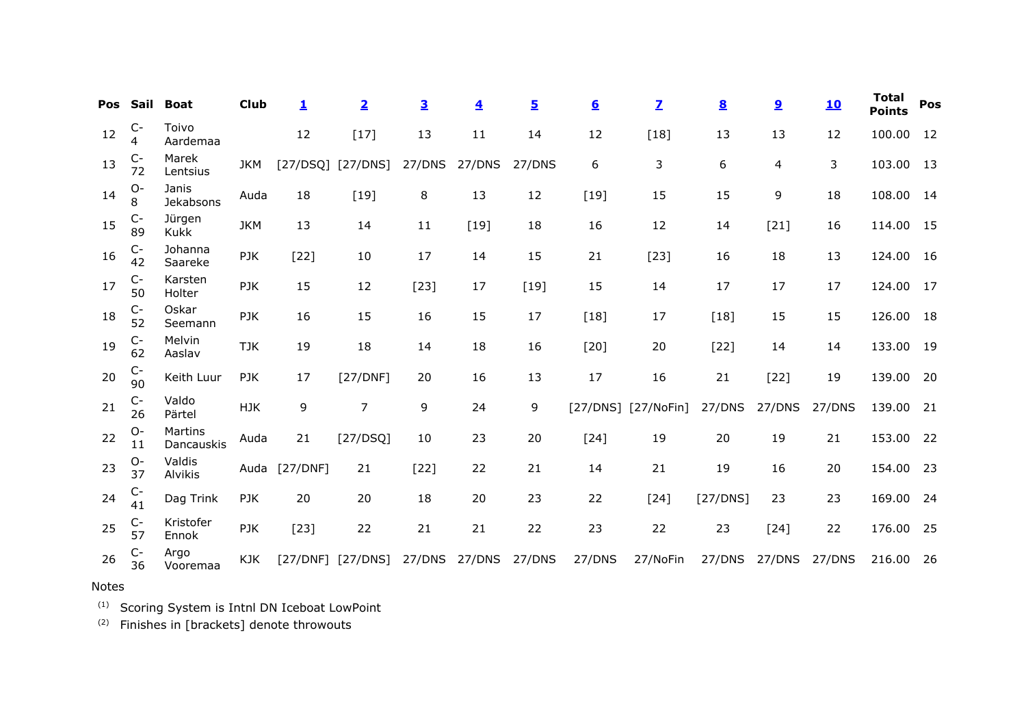| Pos | Sail        | <b>Boat</b>           | <b>Club</b> | 1        | $\overline{2}$ | $\overline{\mathbf{3}}$ | $\overline{\mathbf{4}}$ | $\overline{5}$ | $6 \n$           | $\mathbf{Z}$  | $\underline{\underline{8}}$ | $\overline{\mathbf{2}}$ | <u>10</u> | Total<br><b>Points</b> | Pos |
|-----|-------------|-----------------------|-------------|----------|----------------|-------------------------|-------------------------|----------------|------------------|---------------|-----------------------------|-------------------------|-----------|------------------------|-----|
| 12  | $C-$<br>4   | Toivo<br>Aardemaa     |             | 12       | $[17]$         | 13                      | 11                      | 14             | 12               | $[18]$        | 13                          | 13                      | 12        | 100.00                 | 12  |
| 13  | $C-$<br>72  | Marek<br>Lentsius     | <b>JKM</b>  | [27/DSQ] | [27/DNS]       | 27/DNS                  | 27/DNS                  | 27/DNS         | $\boldsymbol{6}$ | 3             | 6                           | $\overline{4}$          | 3         | 103.00                 | 13  |
| 14  | $O-$<br>8   | Janis<br>Jekabsons    | Auda        | 18       | $[19]$         | 8                       | 13                      | 12             | $[19]$           | 15            | 15                          | 9                       | 18        | 108.00                 | 14  |
| 15  | $C-$<br>89  | Jürgen<br><b>Kukk</b> | <b>JKM</b>  | 13       | 14             | 11                      | $[19]$                  | 18             | 16               | 12            | 14                          | $[21]$                  | 16        | 114.00                 | 15  |
| 16  | $C-$<br>42  | Johanna<br>Saareke    | PJK         | $[22]$   | 10             | 17                      | 14                      | 15             | 21               | $[23]$        | 16                          | 18                      | 13        | 124.00                 | 16  |
| 17  | $C-$<br>50  | Karsten<br>Holter     | PJK         | 15       | 12             | $[23]$                  | 17                      | $[19]$         | 15               | 14            | 17                          | 17                      | 17        | 124.00                 | 17  |
| 18  | $C-$<br>52  | Oskar<br>Seemann      | PJK         | 16       | 15             | 16                      | 15                      | 17             | $[18]$           | 17            | $[18]$                      | 15                      | 15        | 126.00                 | 18  |
| 19  | $C-$<br>62  | Melvin<br>Aaslav      | <b>TJK</b>  | 19       | 18             | 14                      | 18                      | 16             | $[20]$           | 20            | $[22]$                      | 14                      | 14        | 133.00                 | 19  |
| 20  | $C-$<br>90  | Keith Luur            | PJK         | 17       | [27/DNF]       | 20                      | 16                      | 13             | 17               | 16            | 21                          | $[22]$                  | 19        | 139.00                 | 20  |
| 21  | $C-$<br>26  | Valdo<br>Pärtel       | <b>HJK</b>  | 9        | $\overline{7}$ | 9                       | 24                      | 9              | [27/DNS]         | $[27/N$ oFin] | 27/DNS                      | 27/DNS                  | 27/DNS    | 139.00                 | 21  |
| 22  | $O-$<br>11  | Martins<br>Dancauskis | Auda        | 21       | [27/DSQ]       | 10                      | 23                      | 20             | $[24]$           | 19            | 20                          | 19                      | 21        | 153.00                 | 22  |
| 23  | $O -$<br>37 | Valdis<br>Alvikis     | Auda        | [27/DNF] | 21             | $[22]$                  | 22                      | 21             | 14               | 21            | 19                          | 16                      | 20        | 154.00                 | 23  |
| 24  | $C-$<br>41  | Dag Trink             | PJK         | 20       | 20             | 18                      | 20                      | 23             | 22               | $[24]$        | [27/DNS]                    | 23                      | 23        | 169.00                 | 24  |
| 25  | $C-$<br>57  | Kristofer<br>Ennok    | PJK         | $[23]$   | 22             | 21                      | 21                      | 22             | 23               | 22            | 23                          | $[24]$                  | 22        | 176.00                 | 25  |
| 26  | $C-$<br>36  | Argo<br>Vooremaa      | KJK         | [27/DNF] | [27/DNS]       | 27/DNS                  | 27/DNS                  | 27/DNS         | 27/DNS           | 27/NoFin      | 27/DNS                      | 27/DNS                  | 27/DNS    | 216.00                 | -26 |

### Notes

(1) Scoring System is Intnl DN Iceboat LowPoint

 $(2)$  Finishes in [brackets] denote throwouts